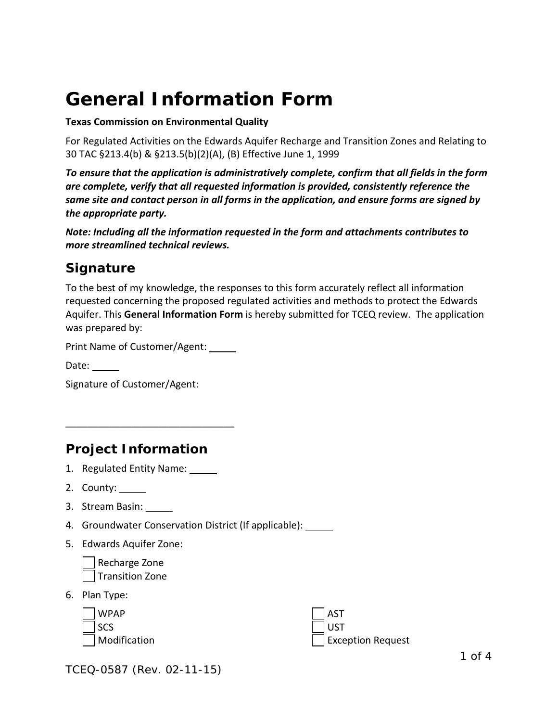# **General Information Form**

**Texas Commission on Environmental Quality**

For Regulated Activities on the Edwards Aquifer Recharge and Transition Zones and Relating to 30 TAC §213.4(b) & §213.5(b)(2)(A), (B) Effective June 1, 1999

*To ensure that the application is administratively complete, confirm that all fields in the form are complete, verify that all requested information is provided, consistently reference the same site and contact person in all forms in the application, and ensure forms are signed by the appropriate party.* 

*Note: Including all the information requested in the form and attachments contributes to more streamlined technical reviews.*

#### *Signature*

To the best of my knowledge, the responses to this form accurately reflect all information requested concerning the proposed regulated activities and methods to protect the Edwards Aquifer. This **General Information Form** is hereby submitted for TCEQ review. The application was prepared by:

Print Name of Customer/Agent:

 $\overline{\phantom{a}}$  , which is a set of the set of the set of the set of the set of the set of the set of the set of the set of the set of the set of the set of the set of the set of the set of the set of the set of the set of th

Date:  $\_\_$ 

Signature of Customer/Agent:

#### *Project Information*

- 1. Regulated Entity Name:
- 2. County:
- 3. Stream Basin:
- 4. Groundwater Conservation District (If applicable):
- 5. Edwards Aquifer Zone:

Recharge Zone Transition Zone

6. Plan Type:

| WPAP                     | $ $ AST           |
|--------------------------|-------------------|
| $\mathsf{I}\mathsf{SCS}$ | l ust             |
| Modification             | Exception Request |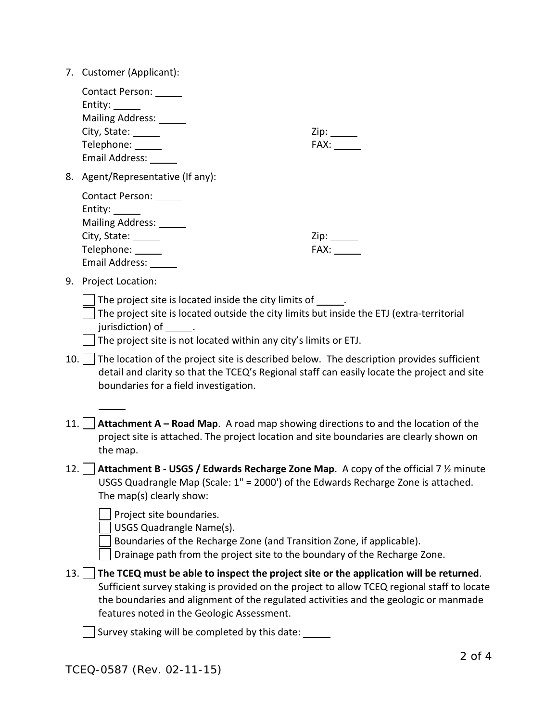| Customer (Applicant):<br>7. |  |  |
|-----------------------------|--|--|
|-----------------------------|--|--|

|       | Contact Person: ______<br>Entity:<br>Mailing Address: ______<br>City, State: ______<br>Telephone: _____<br>Email Address: _______                                                                                                                                                                                                                | FAX: The contract of the contract of the contract of the contract of the contract of the contract of the contract of the contract of the contract of the contract of the contract of the contract of the contract of the contr |
|-------|--------------------------------------------------------------------------------------------------------------------------------------------------------------------------------------------------------------------------------------------------------------------------------------------------------------------------------------------------|--------------------------------------------------------------------------------------------------------------------------------------------------------------------------------------------------------------------------------|
| 8.    | Agent/Representative (If any):                                                                                                                                                                                                                                                                                                                   |                                                                                                                                                                                                                                |
|       | Contact Person: ______<br>Entity: $\_\_$<br>Mailing Address: ______<br>City, State: ______<br>Telephone: _____<br>Email Address: ______                                                                                                                                                                                                          | FAX:                                                                                                                                                                                                                           |
| 9.    | Project Location:                                                                                                                                                                                                                                                                                                                                |                                                                                                                                                                                                                                |
|       | The project site is located inside the city limits of ______.<br>The project site is located outside the city limits but inside the ETJ (extra-territorial<br>jurisdiction) of flat the control of the control of the control of the control of the control of the control o<br>The project site is not located within any city's limits or ETJ. |                                                                                                                                                                                                                                |
|       | $10.$ The location of the project site is described below. The description provides sufficient<br>detail and clarity so that the TCEQ's Regional staff can easily locate the project and site<br>boundaries for a field investigation.                                                                                                           |                                                                                                                                                                                                                                |
| 11.   | Attachment A – Road Map. A road map showing directions to and the location of the<br>project site is attached. The project location and site boundaries are clearly shown on<br>the map.                                                                                                                                                         |                                                                                                                                                                                                                                |
| 12. l | <b>Attachment B - USGS / Edwards Recharge Zone Map.</b> A copy of the official 7 $\frac{1}{2}$ minute<br>USGS Quadrangle Map (Scale: 1" = 2000') of the Edwards Recharge Zone is attached.<br>The map(s) clearly show:                                                                                                                           |                                                                                                                                                                                                                                |
|       | Project site boundaries.<br><b>USGS Quadrangle Name(s).</b><br>Boundaries of the Recharge Zone (and Transition Zone, if applicable).<br>Drainage path from the project site to the boundary of the Recharge Zone.                                                                                                                                |                                                                                                                                                                                                                                |
| 13.   | The TCEQ must be able to inspect the project site or the application will be returned.<br>Sufficient survey staking is provided on the project to allow TCEQ regional staff to locate<br>the boundaries and alignment of the regulated activities and the geologic or manmade<br>features noted in the Geologic Assessment.                      |                                                                                                                                                                                                                                |
|       | Survey staking will be completed by this date:                                                                                                                                                                                                                                                                                                   |                                                                                                                                                                                                                                |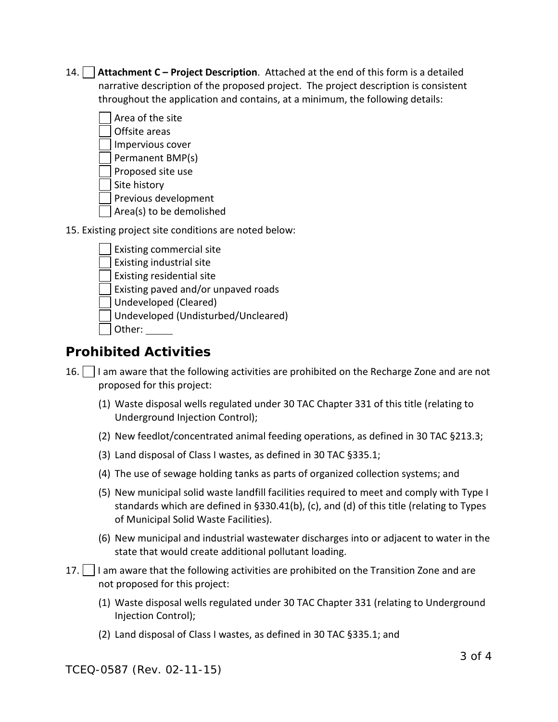14. **Attachment C – Project Description**. Attached at the end of this form is a detailed narrative description of the proposed project. The project description is consistent throughout the application and contains, at a minimum, the following details:

| Area of the site                                      |
|-------------------------------------------------------|
| Offsite areas                                         |
| Impervious cover                                      |
| Permanent BMP(s)                                      |
| Proposed site use                                     |
| Site history                                          |
| Previous development                                  |
| Area(s) to be demolished                              |
| 15. Existing project site conditions are noted below: |

| Existing commercial site            |
|-------------------------------------|
| Existing industrial site            |
| Existing residential site           |
| Existing paved and/or unpaved roads |
| Undeveloped (Cleared)               |
| Undeveloped (Undisturbed/Uncleared) |
| Other:                              |
|                                     |

## *Prohibited Activities*

- 16. I lam aware that the following activities are prohibited on the Recharge Zone and are not proposed for this project:
	- (1) Waste disposal wells regulated under 30 TAC Chapter 331 of this title (relating to Underground Injection Control);
	- (2) New feedlot/concentrated animal feeding operations, as defined in 30 TAC §213.3;
	- (3) Land disposal of Class I wastes, as defined in 30 TAC §335.1;
	- (4) The use of sewage holding tanks as parts of organized collection systems; and
	- (5) New municipal solid waste landfill facilities required to meet and comply with Type I standards which are defined in §330.41(b), (c), and (d) of this title (relating to Types of Municipal Solid Waste Facilities).
	- (6) New municipal and industrial wastewater discharges into or adjacent to water in the state that would create additional pollutant loading.
- 17.  $\vert$  I am aware that the following activities are prohibited on the Transition Zone and are not proposed for this project:
	- (1) Waste disposal wells regulated under 30 TAC Chapter 331 (relating to Underground Injection Control);
	- (2) Land disposal of Class I wastes, as defined in 30 TAC §335.1; and